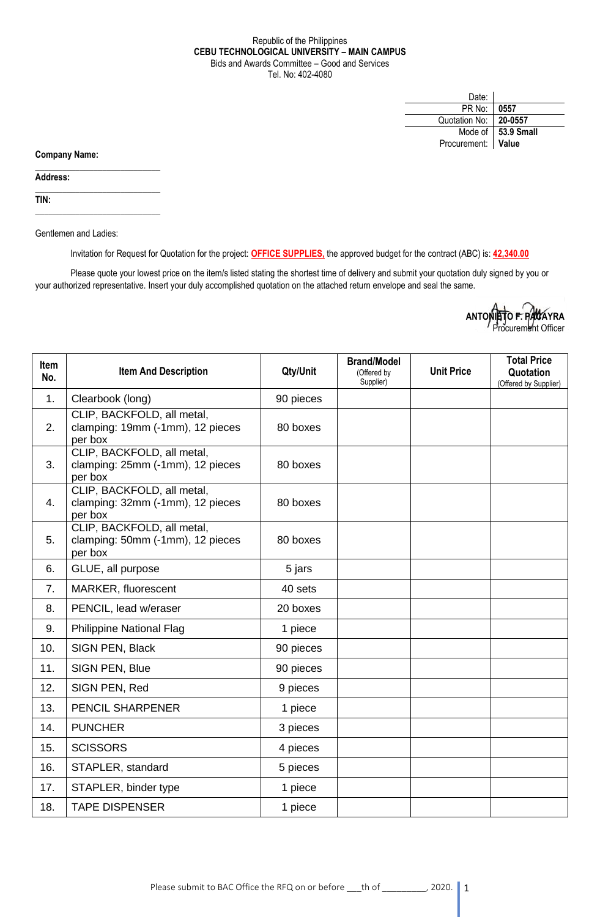## Republic of the Philippines **CEBU TECHNOLOGICAL UNIVERSITY – MAIN CAMPUS** Bids and Awards Committee – Good and Services Tel. No: 402-4080

| Date:              |                      |
|--------------------|----------------------|
| PR No:             | 0557                 |
| Quotation No:      | 20-0557              |
|                    | Mode of   53.9 Small |
| Procurement: Value |                      |

**Company Name:**

**Address:** 

**TIN:**

Gentlemen and Ladies:

 $\_$ 

 $\_$ 

\_\_\_\_\_\_\_\_\_\_\_\_\_\_\_\_\_\_\_\_\_\_\_\_\_\_\_\_

Invitation for Request for Quotation for the project: **OFFICE SUPPLIES,** the approved budget for the contract (ABC) is: **42,340.00**

Please quote your lowest price on the item/s listed stating the shortest time of delivery and submit your quotation duly signed by you or your authorized representative. Insert your duly accomplished quotation on the attached return envelope and seal the same.

| ANTONIETO F. PACAYRA |  |
|----------------------|--|
| Procurement Officer  |  |

| <b>Item</b><br>No. | <b>Item And Description</b>                                               | Qty/Unit  | <b>Brand/Model</b><br>(Offered by<br>Supplier) | <b>Unit Price</b> | <b>Total Price</b><br>Quotation<br>(Offered by Supplier) |
|--------------------|---------------------------------------------------------------------------|-----------|------------------------------------------------|-------------------|----------------------------------------------------------|
| 1.                 | Clearbook (long)                                                          | 90 pieces |                                                |                   |                                                          |
| 2.                 | CLIP, BACKFOLD, all metal,<br>clamping: 19mm (-1mm), 12 pieces<br>per box | 80 boxes  |                                                |                   |                                                          |
| 3.                 | CLIP, BACKFOLD, all metal,<br>clamping: 25mm (-1mm), 12 pieces<br>per box | 80 boxes  |                                                |                   |                                                          |
| 4.                 | CLIP, BACKFOLD, all metal,<br>clamping: 32mm (-1mm), 12 pieces<br>per box | 80 boxes  |                                                |                   |                                                          |
| 5.                 | CLIP, BACKFOLD, all metal,<br>clamping: 50mm (-1mm), 12 pieces<br>per box | 80 boxes  |                                                |                   |                                                          |
| 6.                 | GLUE, all purpose                                                         | 5 jars    |                                                |                   |                                                          |
| 7.                 | MARKER, fluorescent                                                       | 40 sets   |                                                |                   |                                                          |
| 8.                 | PENCIL, lead w/eraser                                                     | 20 boxes  |                                                |                   |                                                          |
| 9.                 | <b>Philippine National Flag</b>                                           | 1 piece   |                                                |                   |                                                          |
| 10.                | SIGN PEN, Black                                                           | 90 pieces |                                                |                   |                                                          |
| 11.                | SIGN PEN, Blue                                                            | 90 pieces |                                                |                   |                                                          |
| 12.                | SIGN PEN, Red                                                             | 9 pieces  |                                                |                   |                                                          |
| 13.                | PENCIL SHARPENER                                                          | 1 piece   |                                                |                   |                                                          |
| 14.                | <b>PUNCHER</b>                                                            | 3 pieces  |                                                |                   |                                                          |
| 15.                | <b>SCISSORS</b>                                                           | 4 pieces  |                                                |                   |                                                          |
| 16.                | STAPLER, standard                                                         | 5 pieces  |                                                |                   |                                                          |
| 17.                | STAPLER, binder type                                                      | 1 piece   |                                                |                   |                                                          |
| 18.                | <b>TAPE DISPENSER</b>                                                     | 1 piece   |                                                |                   |                                                          |